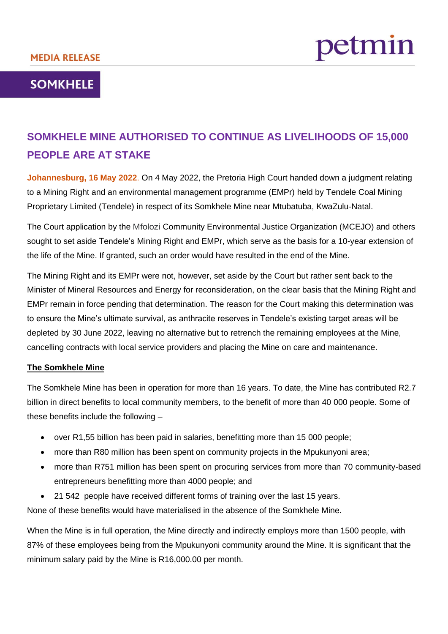# petmin

## **SOMKHELE**

## **SOMKHELE MINE AUTHORISED TO CONTINUE AS LIVELIHOODS OF 15,000 PEOPLE ARE AT STAKE**

**Johannesburg, 16 May 2022**. On 4 May 2022, the Pretoria High Court handed down a judgment relating to a Mining Right and an environmental management programme (EMPr) held by Tendele Coal Mining Proprietary Limited (Tendele) in respect of its Somkhele Mine near Mtubatuba, KwaZulu-Natal.

The Court application by the Mfolozi Community Environmental Justice Organization (MCEJO) and others sought to set aside Tendele's Mining Right and EMPr, which serve as the basis for a 10-year extension of the life of the Mine. If granted, such an order would have resulted in the end of the Mine.

The Mining Right and its EMPr were not, however, set aside by the Court but rather sent back to the Minister of Mineral Resources and Energy for reconsideration, on the clear basis that the Mining Right and EMPr remain in force pending that determination. The reason for the Court making this determination was to ensure the Mine's ultimate survival, as anthracite reserves in Tendele's existing target areas will be depleted by 30 June 2022, leaving no alternative but to retrench the remaining employees at the Mine, cancelling contracts with local service providers and placing the Mine on care and maintenance.

### **The Somkhele Mine**

The Somkhele Mine has been in operation for more than 16 years. To date, the Mine has contributed R2.7 billion in direct benefits to local community members, to the benefit of more than 40 000 people. Some of these benefits include the following –

- over R1,55 billion has been paid in salaries, benefitting more than 15 000 people;
- more than R80 million has been spent on community projects in the Mpukunyoni area;
- more than R751 million has been spent on procuring services from more than 70 community-based entrepreneurs benefitting more than 4000 people; and
- 21 542 people have received different forms of training over the last 15 years.

None of these benefits would have materialised in the absence of the Somkhele Mine.

When the Mine is in full operation, the Mine directly and indirectly employs more than 1500 people, with 87% of these employees being from the Mpukunyoni community around the Mine. It is significant that the minimum salary paid by the Mine is R16,000.00 per month.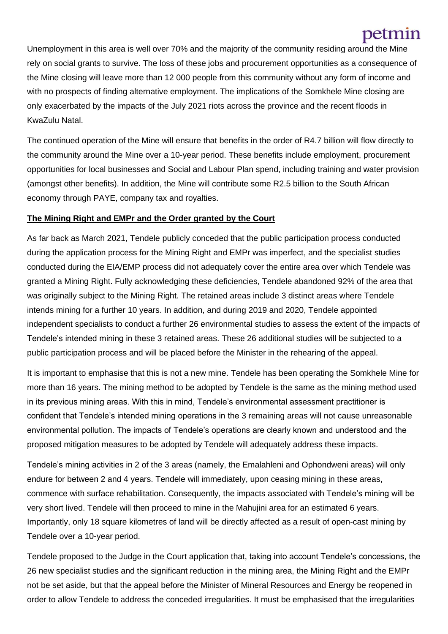# petmin

Unemployment in this area is well over 70% and the majority of the community residing around the Mine rely on social grants to survive. The loss of these jobs and procurement opportunities as a consequence of the Mine closing will leave more than 12 000 people from this community without any form of income and with no prospects of finding alternative employment. The implications of the Somkhele Mine closing are only exacerbated by the impacts of the July 2021 riots across the province and the recent floods in KwaZulu Natal.

The continued operation of the Mine will ensure that benefits in the order of R4.7 billion will flow directly to the community around the Mine over a 10-year period. These benefits include employment, procurement opportunities for local businesses and Social and Labour Plan spend, including training and water provision (amongst other benefits). In addition, the Mine will contribute some R2.5 billion to the South African economy through PAYE, company tax and royalties.

#### **The Mining Right and EMPr and the Order granted by the Court**

As far back as March 2021, Tendele publicly conceded that the public participation process conducted during the application process for the Mining Right and EMPr was imperfect, and the specialist studies conducted during the EIA/EMP process did not adequately cover the entire area over which Tendele was granted a Mining Right. Fully acknowledging these deficiencies, Tendele abandoned 92% of the area that was originally subject to the Mining Right. The retained areas include 3 distinct areas where Tendele intends mining for a further 10 years. In addition, and during 2019 and 2020, Tendele appointed independent specialists to conduct a further 26 environmental studies to assess the extent of the impacts of Tendele's intended mining in these 3 retained areas. These 26 additional studies will be subjected to a public participation process and will be placed before the Minister in the rehearing of the appeal.

It is important to emphasise that this is not a new mine. Tendele has been operating the Somkhele Mine for more than 16 years. The mining method to be adopted by Tendele is the same as the mining method used in its previous mining areas. With this in mind, Tendele's environmental assessment practitioner is confident that Tendele's intended mining operations in the 3 remaining areas will not cause unreasonable environmental pollution. The impacts of Tendele's operations are clearly known and understood and the proposed mitigation measures to be adopted by Tendele will adequately address these impacts.

Tendele's mining activities in 2 of the 3 areas (namely, the Emalahleni and Ophondweni areas) will only endure for between 2 and 4 years. Tendele will immediately, upon ceasing mining in these areas, commence with surface rehabilitation. Consequently, the impacts associated with Tendele's mining will be very short lived. Tendele will then proceed to mine in the Mahujini area for an estimated 6 years. Importantly, only 18 square kilometres of land will be directly affected as a result of open-cast mining by Tendele over a 10-year period.

Tendele proposed to the Judge in the Court application that, taking into account Tendele's concessions, the 26 new specialist studies and the significant reduction in the mining area, the Mining Right and the EMPr not be set aside, but that the appeal before the Minister of Mineral Resources and Energy be reopened in order to allow Tendele to address the conceded irregularities. It must be emphasised that the irregularities